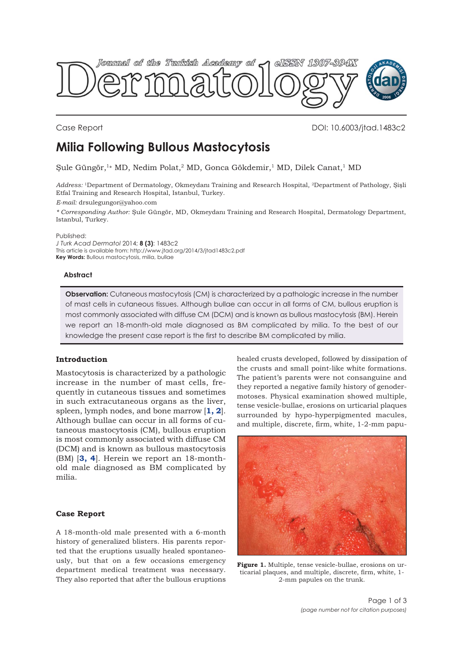<span id="page-0-0"></span>

Case Report DOI: 10.6003/jtad.1483c2

# **Milia Following Bullous Mastocytosis**

Şule Güngör,1\* MD, Nedim Polat,2 MD, Gonca Gökdemir,1 MD, Dilek Canat,1 MD

*Address:* 1Department of Dermatology, Okmeydanı Training and Research Hospital, 2Department of Pathology, Şişli Etfal Training and Research Hospital, Istanbul, Turkey.

*E-mail:* drsulegungor@yahoo.com

*\* Corresponding Author:* Şule Güngör, MD, Okmeydanı Training and Research Hospital, Dermatology Department, Istanbul, Turkey.

Published:

*J Turk Acad Dermatol* 2014; **8 (3)**: 1483c2 This article is available from: http://www.jtad.org/2014/3/jtad1483c2.pdf **Key Words:** Bullous mastocytosis, milia, bullae

## **Abstract**

**Observation:** Cutaneous mastocytosis (CM) is characterized by a pathologic increase in the number of mast cells in cutaneous tissues. Although bullae can occur in all forms of CM, bullous eruption is most commonly associated with diffuse CM (DCM) and is known as bullous mastocytosis (BM). Herein we report an 18-month-old male diagnosed as BM complicated by milia. To the best of our knowledge the present case report is the first to describe BM complicated by milia.

## **Introduction**

Mastocytosis is characterized by a pathologic increase in the number of mast cells, frequently in cutaneous tissues and sometimes in such extracutaneous organs as the liver, spleen, lymph nodes, and bone marrow [**[1, 2](#page-2-0)**]. Although bullae can occur in all forms of cutaneous mastocytosis (CM), bullous eruption is most commonly associated with diffuse CM (DCM) and is known as bullous mastocytosis (BM) [**[3,](#page-2-0) [4](#page-2-0)**]. Herein we report an 18-monthold male diagnosed as BM complicated by milia.

## **Case Report**

A 18-month-old male presented with a 6-month history of generalized blisters. His parents reported that the eruptions usually healed spontaneously, but that on a few occasions emergency department medical treatment was necessary. They also reported that after the bullous eruptions

healed crusts developed, followed by dissipation of the crusts and small point-like white formations. The patient's parents were not consanguine and they reported a negative family history of genodermotoses. Physical examination showed multiple, tense vesicle-bullae, erosions on urticarial plaques surrounded by hypo-hyperpigmented macules, and multiple, discrete, firm, white, 1-2-mm papu-



**Figure 1.** Multiple, tense vesicle-bullae, erosions on urticarial plaques, and multiple, discrete, firm, white, 1- 2-mm papules on the trunk.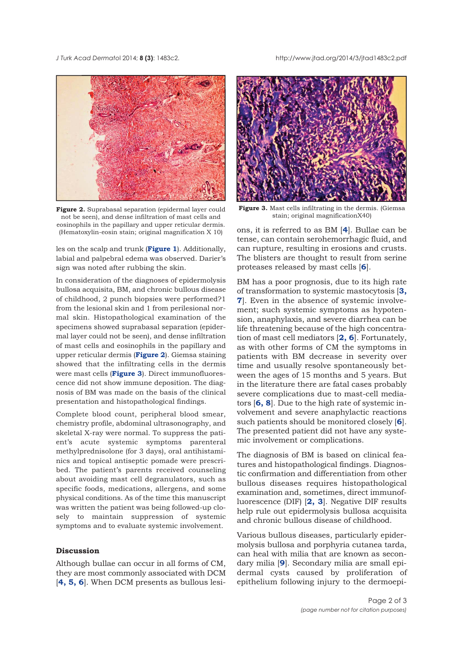*J Turk Acad Dermato*l 2014; **8 (3)**: 1483c2. http://www.jtad.org/2014/3/jtad1483c2.pdf



**Figure 2.** Suprabasal separation (epidermal layer could not be seen), and dense infiltration of mast cells and eosinophils in the papillary and upper reticular dermis. (Hematoxylin-eosin stain; original magnification X 10)

les on the scalp and trunk (**[Figure 1](#page-0-0)**). Additionally, labial and palpebral edema was observed. Darier's sign was noted after rubbing the skin.

In consideration of the diagnoses of epidermolysis bullosa acquisita, BM, and chronic bullous disease of childhood, 2 punch biopsies were performed?1 from the lesional skin and 1 from perilesional normal skin. Histopathological examination of the specimens showed suprabasal separation (epidermal layer could not be seen), and dense infiltration of mast cells and eosinophils in the papillary and upper reticular dermis (**Figure 2**). Giemsa staining showed that the infiltrating cells in the dermis were mast cells (**Figure 3**). Direct immunofluorescence did not show immune deposition. The diagnosis of BM was made on the basis of the clinical presentation and histopathological findings.

Complete blood count, peripheral blood smear, chemistry profile, abdominal ultrasonography, and skeletal X-ray were normal. To suppress the patient's acute systemic symptoms parenteral methylprednisolone (for 3 days), oral antihistaminics and topical antiseptic pomade were prescribed. The patient's parents received counseling about avoiding mast cell degranulators, such as specific foods, medications, allergens, and some physical conditions. As of the time this manuscript was written the patient was being followed-up closely to maintain suppression of systemic symptoms and to evaluate systemic involvement.

## **Discussion**

Although bullae can occur in all forms of CM, they are most commonly associated with DCM [**[4, 5, 6](#page-2-0)**]. When DCM presents as bullous lesi-



**Figure 3.** Mast cells infiltrating in the dermis. (Giemsa stain; original magnificationX40)

ons, it is referred to as BM [**[4](#page-2-0)**]. Bullae can be tense, can contain serohemorrhagic fluid, and can rupture, resulting in erosions and crusts. The blisters are thought to result from serine proteases released by mast cells [**[6](#page-2-0)**].

BM has a poor prognosis, due to its high rate of transformation to systemic mastocytosis [**[3,](#page-2-0) [7](#page-2-0)**]. Even in the absence of systemic involvement; such systemic symptoms as hypotension, anaphylaxis, and severe diarrhea can be life threatening because of the high concentration of mast cell mediators [**[2, 6](#page-2-0)**]. Fortunately, as with other forms of CM the symptoms in patients with BM decrease in severity over time and usually resolve spontaneously between the ages of 15 months and 5 years. But in the literature there are fatal cases probably severe complications due to mast-cell mediators [**[6, 8](#page-2-0)**]. Due to the high rate of systemic involvement and severe anaphylactic reactions such patients should be monitored closely [**[6](#page-2-0)**]. The presented patient did not have any systemic involvement or complications.

The diagnosis of BM is based on clinical features and histopathological findings. Diagnostic confirmation and differentiation from other bullous diseases requires histopathological examination and, sometimes, direct immunofluorescence (DIF) [**[2, 3](#page-2-0)**]. Negative DIF results help rule out epidermolysis bullosa acquisita and chronic bullous disease of childhood.

Various bullous diseases, particularly epidermolysis bullosa and porphyria cutanea tarda, can heal with milia that are known as secondary milia [**[9](#page-2-0)**]. Secondary milia are small epidermal cysts caused by proliferation of epithelium following injury to the dermoepi-